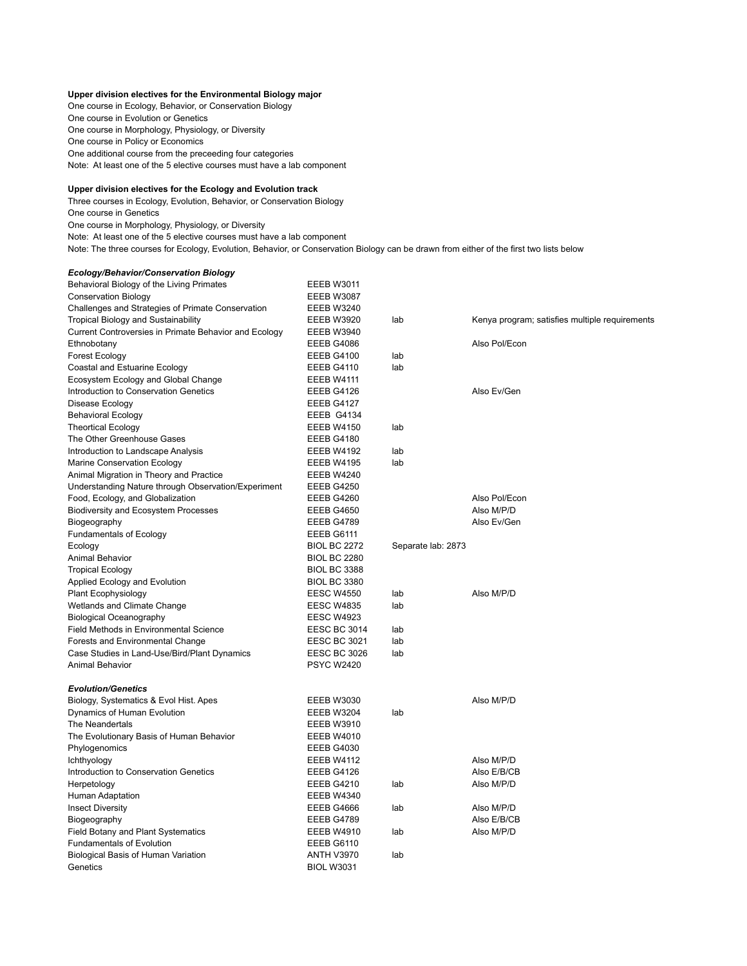## **Upper division electives for the Environmental Biology major**

One course in Ecology, Behavior, or Conservation Biology One course in Evolution or Genetics One course in Morphology, Physiology, or Diversity One course in Policy or Economics One additional course from the preceeding four categories Note: At least one of the 5 elective courses must have a lab component

## **Upper division electives for the Ecology and Evolution track**

Three courses in Ecology, Evolution, Behavior, or Conservation Biology One course in Genetics

One course in Morphology, Physiology, or Diversity

Note: At least one of the 5 elective courses must have a lab component

Note: The three courses for Ecology, Evolution, Behavior, or Conservation Biology can be drawn from either of the first two lists below

## *Ecology/Behavior/Conservation Biology* Behavioral Biology of the Living Primates EEEB W3011

| <b>Conservation Biology</b>                           | EEEB W3087          |                    |                                                |
|-------------------------------------------------------|---------------------|--------------------|------------------------------------------------|
| Challenges and Strategies of Primate Conservation     | EEEB W3240          |                    |                                                |
| <b>Tropical Biology and Sustainability</b>            | EEEB W3920          | lab                | Kenya program; satisfies multiple requirements |
| Current Controversies in Primate Behavior and Ecology | EEEB W3940          |                    |                                                |
| Ethnobotany                                           | EEEB G4086          |                    | Also Pol/Econ                                  |
| Forest Ecology                                        | EEEB G4100          | lab                |                                                |
| Coastal and Estuarine Ecology                         | EEEB G4110          | lab                |                                                |
| Ecosystem Ecology and Global Change                   | EEEB W4111          |                    |                                                |
| Introduction to Conservation Genetics                 | EEEB G4126          |                    | Also Ev/Gen                                    |
| Disease Ecology                                       | EEEB G4127          |                    |                                                |
| <b>Behavioral Ecology</b>                             | EEEB G4134          |                    |                                                |
| <b>Theortical Ecology</b>                             | EEEB W4150          | lab                |                                                |
| The Other Greenhouse Gases                            | EEEB G4180          |                    |                                                |
| Introduction to Landscape Analysis                    | EEEB W4192          | lab                |                                                |
| Marine Conservation Ecology                           | EEEB W4195          | lab                |                                                |
| Animal Migration in Theory and Practice               | EEEB W4240          |                    |                                                |
| Understanding Nature through Observation/Experiment   | EEEB G4250          |                    |                                                |
| Food, Ecology, and Globalization                      | EEEB G4260          |                    | Also Pol/Econ                                  |
| <b>Biodiversity and Ecosystem Processes</b>           | EEEB G4650          |                    | Also M/P/D                                     |
| Biogeography                                          | EEEB G4789          |                    | Also Ev/Gen                                    |
| <b>Fundamentals of Ecology</b>                        | EEEB G6111          |                    |                                                |
| Ecology                                               | <b>BIOL BC 2272</b> | Separate lab: 2873 |                                                |
| <b>Animal Behavior</b>                                | <b>BIOL BC 2280</b> |                    |                                                |
| <b>Tropical Ecology</b>                               | <b>BIOL BC 3388</b> |                    |                                                |
| Applied Ecology and Evolution                         | <b>BIOL BC 3380</b> |                    |                                                |
| Plant Ecophysiology                                   | <b>EESC W4550</b>   | lab                | Also M/P/D                                     |
| Wetlands and Climate Change                           | <b>EESC W4835</b>   | lab                |                                                |
| <b>Biological Oceanography</b>                        | <b>EESC W4923</b>   |                    |                                                |
| Field Methods in Environmental Science                | EESC BC 3014        | lab                |                                                |
| Forests and Environmental Change                      | <b>EESC BC 3021</b> | lab                |                                                |
| Case Studies in Land-Use/Bird/Plant Dynamics          | <b>EESC BC 3026</b> | lab                |                                                |
| <b>Animal Behavior</b>                                | <b>PSYC W2420</b>   |                    |                                                |
|                                                       |                     |                    |                                                |
| <b>Evolution/Genetics</b>                             |                     |                    |                                                |
| Biology, Systematics & Evol Hist. Apes                | EEEB W3030          |                    | Also M/P/D                                     |
| Dynamics of Human Evolution                           | EEEB W3204          | lab                |                                                |
| The Neandertals                                       | <b>EEEB W3910</b>   |                    |                                                |
| The Evolutionary Basis of Human Behavior              | EEEB W4010          |                    |                                                |
| Phylogenomics                                         | EEEB G4030          |                    |                                                |
| Ichthyology                                           | EEEB W4112          |                    | Also M/P/D                                     |
| Introduction to Conservation Genetics                 | EEEB G4126          |                    | Also E/B/CB                                    |
| Herpetology                                           | EEEB G4210          | lab                | Also M/P/D                                     |
| Human Adaptation                                      | EEEB W4340          |                    |                                                |
| <b>Insect Diversity</b>                               | EEEB G4666          | lab                | Also M/P/D                                     |
| Biogeography                                          | EEEB G4789          |                    | Also E/B/CB                                    |
| <b>Field Botany and Plant Systematics</b>             | EEEB W4910          | lab                | Also M/P/D                                     |
| <b>Fundamentals of Evolution</b>                      | EEEB G6110          |                    |                                                |
| Biological Basis of Human Variation                   | <b>ANTH V3970</b>   | lab                |                                                |
| Genetics                                              | <b>BIOL W3031</b>   |                    |                                                |
|                                                       |                     |                    |                                                |